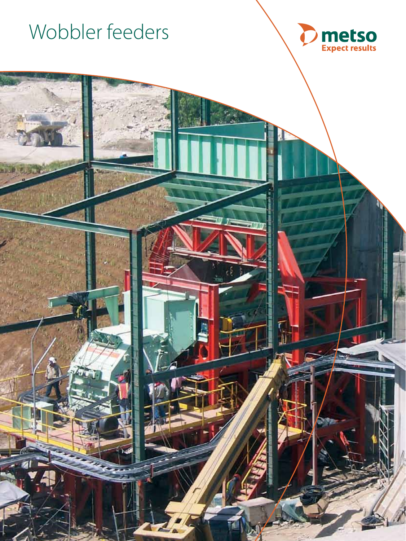



4 T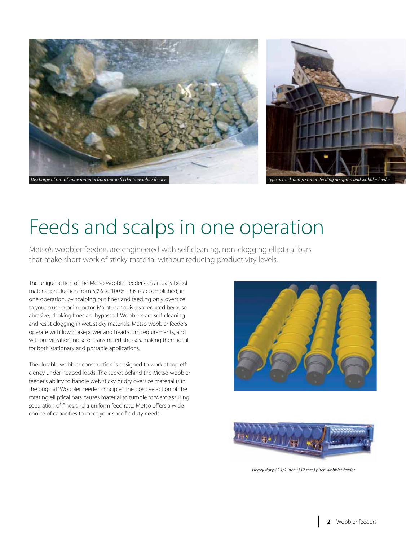

# Feeds and scalps in one operation

Metso's wobbler feeders are engineered with self cleaning, non-clogging elliptical bars that make short work of sticky material without reducing productivity levels.

The unique action of the Metso wobbler feeder can actually boost material production from 50% to 100%. This is accomplished, in one operation, by scalping out fines and feeding only oversize to your crusher or impactor. Maintenance is also reduced because abrasive, choking fines are bypassed. Wobblers are self-cleaning and resist clogging in wet, sticky materials. Metso wobbler feeders operate with low horsepower and headroom requirements, and without vibration, noise or transmitted stresses, making them ideal for both stationary and portable applications.

The durable wobbler construction is designed to work at top efficiency under heaped loads. The secret behind the Metso wobbler feeder's ability to handle wet, sticky or dry oversize material is in the original "Wobbler Feeder Principle". The positive action of the rotating elliptical bars causes material to tumble forward assuring separation of fines and a uniform feed rate. Metso offers a wide choice of capacities to meet your specific duty needs.





*Heavy duty 12 1/2 inch (317 mm) pitch wobbler feeder*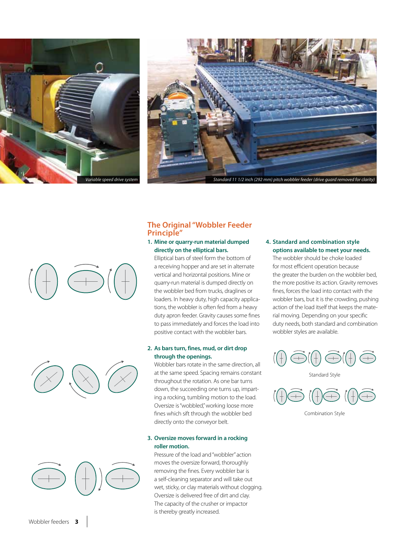





# **The Original "Wobbler Feeder Principle"**

### **1. Mine or quarry-run material dumped directly on the elliptical bars.**

 Elliptical bars of steel form the bottom of a receiving hopper and are set in alternate vertical and horizontal positions. Mine or quarry-run material is dumped directly on the wobbler bed from trucks, draglines or loaders. In heavy duty, high capacity applications, the wobbler is often fed from a heavy duty apron feeder. Gravity causes some fines to pass immediately and forces the load into positive contact with the wobbler bars.

## **2. As bars turn, fines, mud, or dirt drop through the openings.**

 Wobbler bars rotate in the same direction, all at the same speed. Spacing remains constant throughout the rotation. As one bar turns down, the succeeding one turns up, imparting a rocking, tumbling motion to the load. Oversize is "wobbled," working loose more fines which sift through the wobbler bed directly onto the conveyor belt.

# **3. Oversize moves forward in a rocking roller motion.**

 Pressure of the load and "wobbler" action moves the oversize forward, thoroughly removing the fines. Every wobbler bar is a self-cleaning separator and will take out wet, sticky, or clay materials without clogging. Oversize is delivered free of dirt and clay. The capacity of the crusher or impactor is thereby greatly increased.

### **4. Standard and combination style options available to meet your needs.**

 The wobbler should be choke loaded for most efficient operation because the greater the burden on the wobbler bed, the more positive its action. Gravity removes fines, forces the load into contact with the wobbler bars, but it is the crowding, pushing action of the load itself that keeps the material moving. Depending on your specific duty needs, both standard and combination wobbler styles are available.



Standard Style



Combination Style